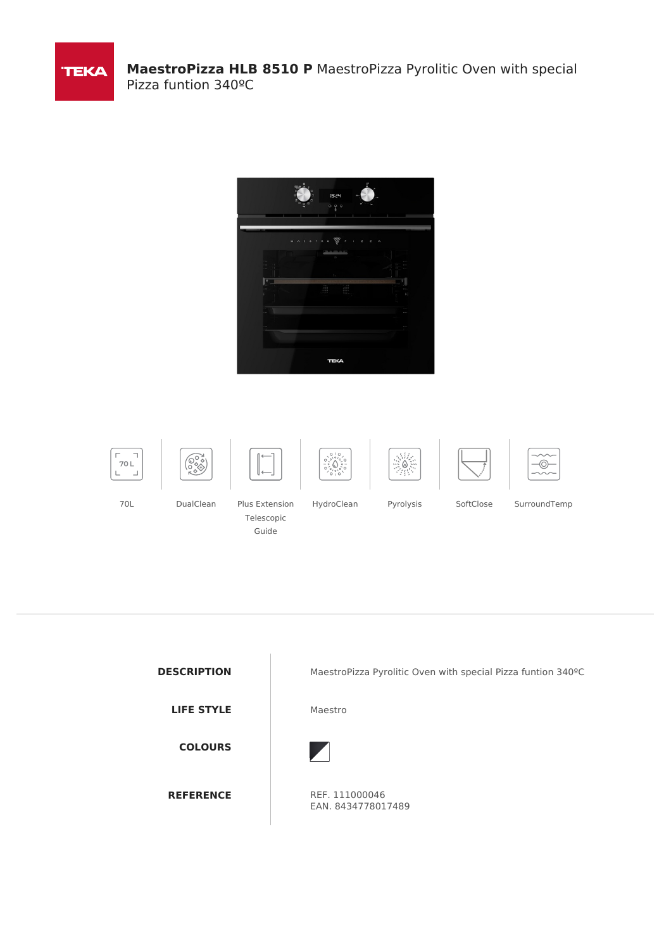

















70L DualClean Plus Extension Telescopic

Guide

HydroClean Pyrolysis SoftClose SurroundTemp

**LIFE STYLE** Maestro **COLOURS**

**DESCRIPTION** MaestroPizza Pyrolitic Oven with special Pizza funtion 340°C



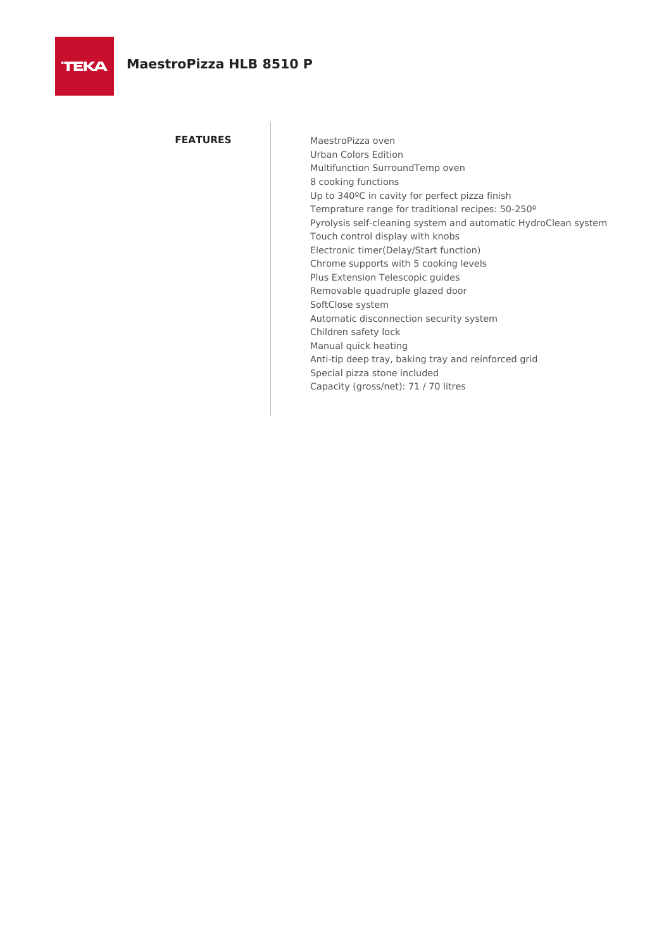**FEATURES** MaestroPizza oven Urban Colors Edition Multifunction SurroundTemp oven 8 cooking functions Up to 340ºC in cavity for perfect pizza finish Temprature range for traditional recipes: 50-250º Pyrolysis self-cleaning system and automatic HydroClean system Touch control display with knobs Electronic timer(Delay/Start function) Chrome supports with 5 cooking levels Plus Extension Telescopic guides Removable quadruple glazed door SoftClose system Automatic disconnection security system Children safety lock Manual quick heating Anti-tip deep tray, baking tray and reinforced grid Special pizza stone included Capacity (gross/net): 71 / 70 litres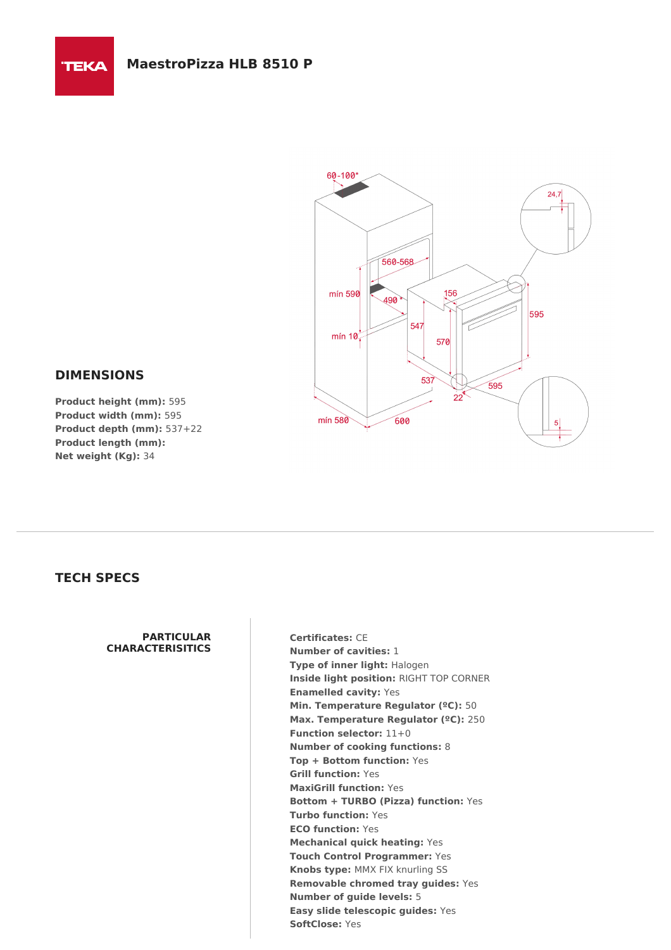

## **DIMENSIONS**

**TEKA** 

**Product height (mm):** 595 **Product width (mm):** 595 **Product depth (mm):** 537+22 **Product length (mm): Net weight (Kg):** 34

## **TECH SPECS**

## **PARTICULAR CHARACTERISITICS**

**Certificates:** CE **Number of cavities:** 1 **Type of inner light:** Halogen **Inside light position:** RIGHT TOP CORNER **Enamelled cavity:** Yes **Min. Temperature Regulator (ºC):** 50 **Max. Temperature Regulator (ºC):** 250 **Function selector:** 11+0 **Number of cooking functions:** 8 **Top + Bottom function:** Yes **Grill function:** Yes **MaxiGrill function:** Yes **Bottom + TURBO (Pizza) function:** Yes **Turbo function:** Yes **ECO function:** Yes **Mechanical quick heating:** Yes **Touch Control Programmer:** Yes **Knobs type:** MMX FIX knurling SS **Removable chromed tray guides:** Yes **Number of guide levels:** 5 **Easy slide telescopic guides:** Yes **SoftClose:** Yes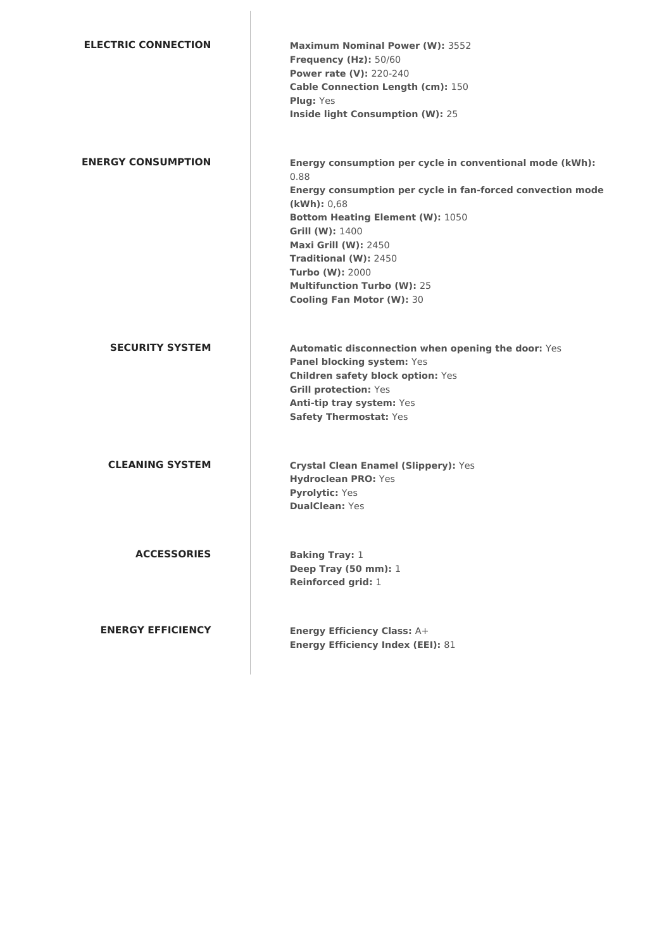| <b>ELECTRIC CONNECTION</b> | <b>Maximum Nominal Power (W): 3552</b><br>Frequency (Hz): 50/60<br><b>Power rate (V): 220-240</b><br><b>Cable Connection Length (cm): 150</b><br><b>Plug: Yes</b><br>Inside light Consumption (W): 25                                                                                                                                                                   |
|----------------------------|-------------------------------------------------------------------------------------------------------------------------------------------------------------------------------------------------------------------------------------------------------------------------------------------------------------------------------------------------------------------------|
| <b>ENERGY CONSUMPTION</b>  | Energy consumption per cycle in conventional mode (kWh):<br>0.88<br>Energy consumption per cycle in fan-forced convection mode<br>(kWh): 0,68<br><b>Bottom Heating Element (W): 1050</b><br>Grill (W): 1400<br><b>Maxi Grill (W): 2450</b><br>Traditional (W): 2450<br><b>Turbo (W): 2000</b><br><b>Multifunction Turbo (W): 25</b><br><b>Cooling Fan Motor (W): 30</b> |
| <b>SECURITY SYSTEM</b>     | Automatic disconnection when opening the door: Yes<br>Panel blocking system: Yes<br><b>Children safety block option: Yes</b><br><b>Grill protection: Yes</b><br>Anti-tip tray system: Yes<br>Safety Thermostat: Yes                                                                                                                                                     |
| <b>CLEANING SYSTEM</b>     | <b>Crystal Clean Enamel (Slippery): Yes</b><br><b>Hydroclean PRO: Yes</b><br><b>Pyrolytic: Yes</b><br><b>DualClean: Yes</b>                                                                                                                                                                                                                                             |
| <b>ACCESSORIES</b>         | <b>Baking Tray: 1</b><br>Deep Tray (50 mm): 1<br>Reinforced grid: 1                                                                                                                                                                                                                                                                                                     |
| <b>ENERGY EFFICIENCY</b>   | <b>Energy Efficiency Class: A+</b><br><b>Energy Efficiency Index (EEI): 81</b>                                                                                                                                                                                                                                                                                          |